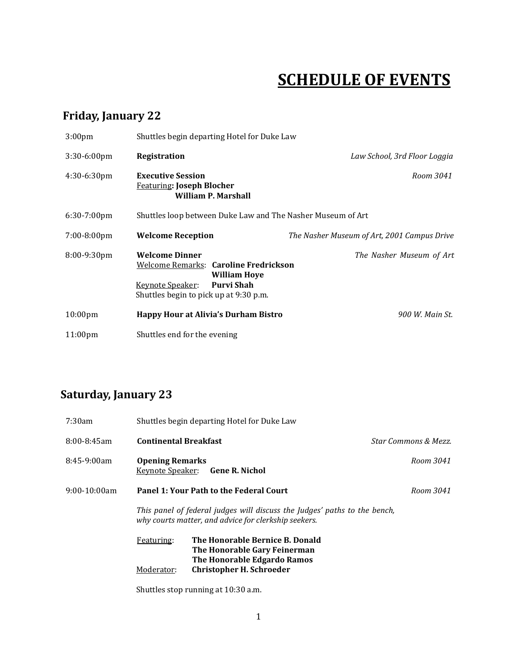## **SCHEDULE OF EVENTS**

## **Friday, January 22**

| 3:00 <sub>pm</sub>      | Shuttles begin departing Hotel for Duke Law                                                                                                                                     |                                             |
|-------------------------|---------------------------------------------------------------------------------------------------------------------------------------------------------------------------------|---------------------------------------------|
| $3:30-6:00$ pm          | Registration                                                                                                                                                                    | Law School, 3rd Floor Loggia                |
| $4:30-6:30$ pm          | <b>Executive Session</b><br><b>Featuring: Joseph Blocher</b><br>William P. Marshall                                                                                             | Room 3041                                   |
| $6:30-7:00$ pm          | Shuttles loop between Duke Law and The Nasher Museum of Art                                                                                                                     |                                             |
| $7:00 - 8:00 \text{pm}$ | <b>Welcome Reception</b>                                                                                                                                                        | The Nasher Museum of Art, 2001 Campus Drive |
| $8:00-9:30$ pm          | <b>Welcome Dinner</b><br><b>Welcome Remarks: Caroline Fredrickson</b><br><b>William Hoye</b><br><b>Purvi Shah</b><br>Keynote Speaker:<br>Shuttles begin to pick up at 9:30 p.m. | The Nasher Museum of Art                    |
| $10:00 \text{pm}$       | <b>Happy Hour at Alivia's Durham Bistro</b>                                                                                                                                     | 900 W. Main St.                             |
| $11:00 \text{pm}$       | Shuttles end for the evening                                                                                                                                                    |                                             |

## **Saturday, January 23**

| 7:30am           |                                                                                                                                   | Shuttles begin departing Hotel for Duke Law                                                    |                      |
|------------------|-----------------------------------------------------------------------------------------------------------------------------------|------------------------------------------------------------------------------------------------|----------------------|
| $8:00 - 8:45$ am | <b>Continental Breakfast</b>                                                                                                      |                                                                                                | Star Commons & Mezz. |
| $8:45-9:00am$    | <b>Opening Remarks</b>                                                                                                            | Keynote Speaker: Gene R. Nichol                                                                | Room 3041            |
| $9:00-10:00am$   |                                                                                                                                   | Panel 1: Your Path to the Federal Court                                                        | Room 3041            |
|                  | This panel of federal judges will discuss the Judges' paths to the bench,<br>why courts matter, and advice for clerkship seekers. |                                                                                                |                      |
|                  | Featuring:                                                                                                                        | The Honorable Bernice B. Donald<br>The Honorable Gary Feinerman<br>The Honorable Edgardo Ramos |                      |
|                  | Moderator:                                                                                                                        | <b>Christopher H. Schroeder</b>                                                                |                      |
|                  |                                                                                                                                   | Shuttles stop running at 10:30 a.m.                                                            |                      |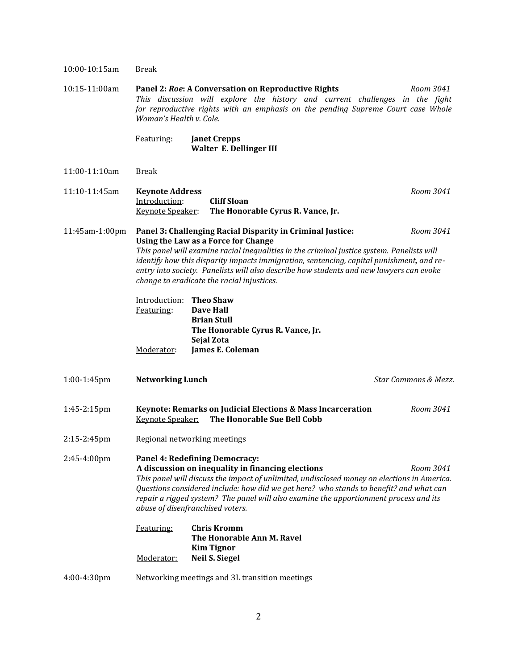| 10:00-10:15am  | <b>Break</b>                                                                                                                                                                                                                                                                                                                                                                                                                                      |           |  |
|----------------|---------------------------------------------------------------------------------------------------------------------------------------------------------------------------------------------------------------------------------------------------------------------------------------------------------------------------------------------------------------------------------------------------------------------------------------------------|-----------|--|
| 10:15-11:00am  | Panel 2: Roe: A Conversation on Reproductive Rights<br>Room 3041<br>This discussion will explore the history and current challenges in the fight<br>for reproductive rights with an emphasis on the pending Supreme Court case Whole<br>Woman's Health v. Cole.                                                                                                                                                                                   |           |  |
|                | Featuring:<br><b>Janet Crepps</b><br>Walter E. Dellinger III                                                                                                                                                                                                                                                                                                                                                                                      |           |  |
| 11:00-11:10am  | <b>Break</b>                                                                                                                                                                                                                                                                                                                                                                                                                                      |           |  |
| 11:10-11:45am  | <b>Keynote Address</b><br><b>Cliff Sloan</b><br>Introduction:<br>Keynote Speaker:<br>The Honorable Cyrus R. Vance, Jr.                                                                                                                                                                                                                                                                                                                            | Room 3041 |  |
| 11:45am-1:00pm | Panel 3: Challenging Racial Disparity in Criminal Justice:<br>Room 3041<br>Using the Law as a Force for Change<br>This panel will examine racial inequalities in the criminal justice system. Panelists will<br>identify how this disparity impacts immigration, sentencing, capital punishment, and re-<br>entry into society. Panelists will also describe how students and new lawyers can evoke<br>change to eradicate the racial injustices. |           |  |
|                | Introduction: Theo Shaw<br><b>Dave Hall</b><br>Featuring:<br><b>Brian Stull</b><br>The Honorable Cyrus R. Vance, Jr.<br>Sejal Zota<br>James E. Coleman<br>Moderator:                                                                                                                                                                                                                                                                              |           |  |
| $1:00-1:45$ pm | <b>Networking Lunch</b><br>Star Commons & Mezz.                                                                                                                                                                                                                                                                                                                                                                                                   |           |  |
| 1:45-2:15pm    | Keynote: Remarks on Judicial Elections & Mass Incarceration<br>The Honorable Sue Bell Cobb<br><b>Keynote Speaker:</b>                                                                                                                                                                                                                                                                                                                             | Room 3041 |  |
| 2:15-2:45pm    | Regional networking meetings                                                                                                                                                                                                                                                                                                                                                                                                                      |           |  |
| 2:45-4:00pm    | Panel 4: Redefining Democracy:<br>A discussion on inequality in financing elections<br>Room 3041<br>This panel will discuss the impact of unlimited, undisclosed money on elections in America.<br>Questions considered include: how did we get here? who stands to benefit? and what can<br>repair a rigged system? The panel will also examine the apportionment process and its<br>abuse of disenfranchised voters.                            |           |  |
|                | <b>Chris Kromm</b><br>Featuring:<br>The Honorable Ann M. Ravel<br><b>Kim Tignor</b><br><b>Neil S. Siegel</b><br>Moderator:                                                                                                                                                                                                                                                                                                                        |           |  |
| 4:00-4:30pm    | Networking meetings and 3L transition meetings                                                                                                                                                                                                                                                                                                                                                                                                    |           |  |